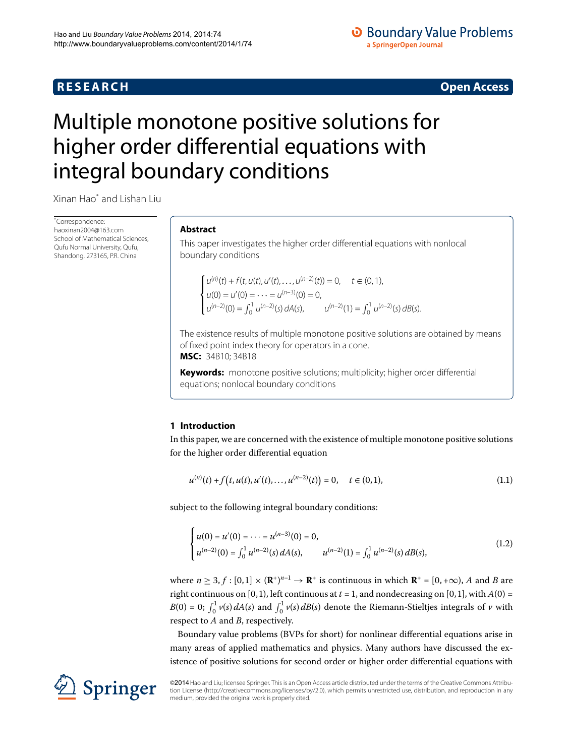## **R E S E A R C H Open Access**

## **O** Boundary Value Problems a SpringerOpen Journal

# <span id="page-0-0"></span>Multiple monotone positive solutions for higher order differential equations with integral boundary conditions

Xinan Hao[\\*](#page-0-0) and Lishan Liu

\* Correspondence: [haoxinan2004@163.com](mailto:haoxinan2004@163.com) School of Mathematical Sciences, Qufu Normal University, Qufu, Shandong, 273165, P.R. China

## **Abstract**

This paper investigates the higher order differential equations with nonlocal boundary conditions

$$
\begin{cases}\n u^{(n)}(t) + f(t, u(t), u'(t), \dots, u^{(n-2)}(t)) = 0, & t \in (0, 1), \\
 u(0) = u'(0) = \dots = u^{(n-3)}(0) = 0, \\
 u^{(n-2)}(0) = \int_0^1 u^{(n-2)}(s) dA(s), & u^{(n-2)}(1) = \int_0^1 u^{(n-2)}(s) dB(s).\n\end{cases}
$$

The existence results of multiple monotone positive solutions are obtained by means of fixed point index theory for operators in a cone. **MSC:** 34B10; 34B18

<span id="page-0-1"></span>**Keywords:** monotone positive solutions; multiplicity; higher order differential equations; nonlocal boundary conditions

## **1 Introduction**

In this paper, we are concerned with the existence of multiple monotone positive solutions for the higher order differential equation

<span id="page-0-2"></span>
$$
u^{(n)}(t) + f(t, u(t), u'(t), \dots, u^{(n-2)}(t)) = 0, \quad t \in (0, 1),
$$
\n(1.1)

subject to the following integral boundary conditions:

$$
\begin{cases} u(0) = u'(0) = \dots = u^{(n-3)}(0) = 0, \\ u^{(n-2)}(0) = \int_0^1 u^{(n-2)}(s) dA(s), \qquad u^{(n-2)}(1) = \int_0^1 u^{(n-2)}(s) dB(s), \end{cases}
$$
(1.2)

where  $n \geq 3, f : [0,1] \times (\mathbf{R}^+)^{n-1} \to \mathbf{R}^+$  is continuous in which  $\mathbf{R}^+ = [0, +\infty)$ , *A* and *B* are right continuous on [0, 1), left continuous at  $t = 1$ , and nondecreasing on [0, 1], with  $A(0) =$ *B*(0) = 0;  $\int_0^1 v(s) dA(s)$  and  $\int_0^1 v(s) dB(s)$  denote the Riemann-Stieltjes integrals of *v* with respect to *A* and *B*, respectively.

Boundary value problems (BVPs for short) for nonlinear differential equations arise in many areas of applied mathematics and physics. Many authors have discussed the existence of positive solutions for second order or higher order differential equations with



©2014 Hao and Liu; licensee Springer. This is an Open Access article distributed under the terms of the Creative Commons Attribution License ([http://creativecommons.org/licenses/by/2.0\)](http://creativecommons.org/licenses/by/2.0), which permits unrestricted use, distribution, and reproduction in any medium, provided the original work is properly cited.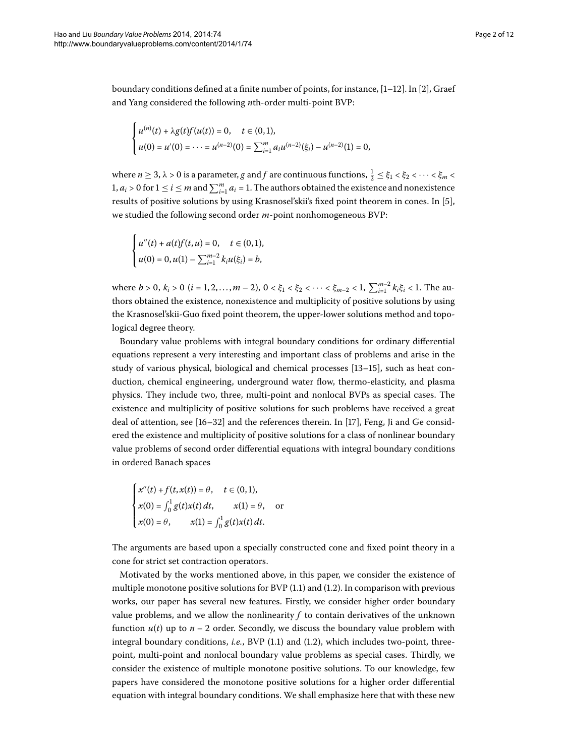boundary conditions defined at a finite number of points, for instance,  $[1-12]$  $[1-12]$ . In  $[2]$ , Graef and Yang considered the following *n*th-order multi-point BVP:

$$
\begin{cases} u^{(n)}(t) + \lambda g(t)f(u(t)) = 0, \quad t \in (0,1), \\ u(0) = u'(0) = \cdots = u^{(n-2)}(0) = \sum_{i=1}^{m} a_i u^{(n-2)}(\xi_i) - u^{(n-2)}(1) = 0, \end{cases}
$$

where  $n \ge 3$ ,  $\lambda > 0$  is a parameter,  $g$  and  $f$  are continuous functions,  $\frac{1}{2} \le \xi_1 < \xi_2 < \cdots < \xi_m <$  $1, a_i > 0$  for  $1 \leq i \leq m$  and  $\sum_{i=1}^{m} a_i = 1$ . The authors obtained the existence and nonexistence results of positive solutions by using Krasnosel'skii's fixed point theorem in cones. In [5[\]](#page-10-3), we studied the following second order *m*-point nonhomogeneous BVP:

$$
\begin{cases} u''(t) + a(t)f(t, u) = 0, & t \in (0, 1), \\ u(0) = 0, u(1) - \sum_{i=1}^{m-2} k_i u(\xi_i) = b, \end{cases}
$$

where  $b > 0$ ,  $k_i > 0$   $(i = 1, 2, ..., m - 2)$ ,  $0 < \xi_1 < \xi_2 < \cdots < \xi_{m-2} < 1$ ,  $\sum_{i=1}^{m-2} k_i \xi_i < 1$ . The authors obtained the existence, nonexistence and multiplicity of positive solutions by using the Krasnosel'skii-Guo fixed point theorem, the upper-lower solutions method and topological degree theory.

Boundary value problems with integral boundary conditions for ordinary differential equations represent a very interesting and important class of problems and arise in the study of various physical, biological and chemical processes  $[13-15]$  $[13-15]$ , such as heat conduction, chemical engineering, underground water flow, thermo-elasticity, and plasma physics. They include two, three, multi-point and nonlocal BVPs as special cases. The existence and multiplicity of positive solutions for such problems have received a great deal of attention, see  $[16-32]$  $[16-32]$  and the references therein. In  $[17]$ , Feng, Ji and Ge considered the existence and multiplicity of positive solutions for a class of nonlinear boundary value problems of second order differential equations with integral boundary conditions in ordered Banach spaces

$$
\begin{cases}\nx''(t) + f(t, x(t)) = \theta, & t \in (0, 1), \\
x(0) = \int_0^1 g(t)x(t) dt, & x(1) = \theta, \text{ or} \\
x(0) = \theta, & x(1) = \int_0^1 g(t)x(t) dt.\n\end{cases}
$$

The arguments are based upon a specially constructed cone and fixed point theory in a cone for strict set contraction operators.

Motivated by the works mentioned above, in this paper, we consider the existence of multiple monotone positive solutions for BVP  $(1.1)$  $(1.1)$  $(1.1)$  and  $(1.2)$ . In comparison with previous works, our paper has several new features. Firstly, we consider higher order boundary value problems, and we allow the nonlinearity  $f$  to contain derivatives of the unknown function  $u(t)$  up to  $n-2$  order. Secondly, we discuss the boundary value problem with integral boundary conditions, *i[.](#page-0-2)e.*, BVP  $(1.1)$  and  $(1.2)$ , which includes two-point, threepoint, multi-point and nonlocal boundary value problems as special cases. Thirdly, we consider the existence of multiple monotone positive solutions. To our knowledge, few papers have considered the monotone positive solutions for a higher order differential equation with integral boundary conditions. We shall emphasize here that with these new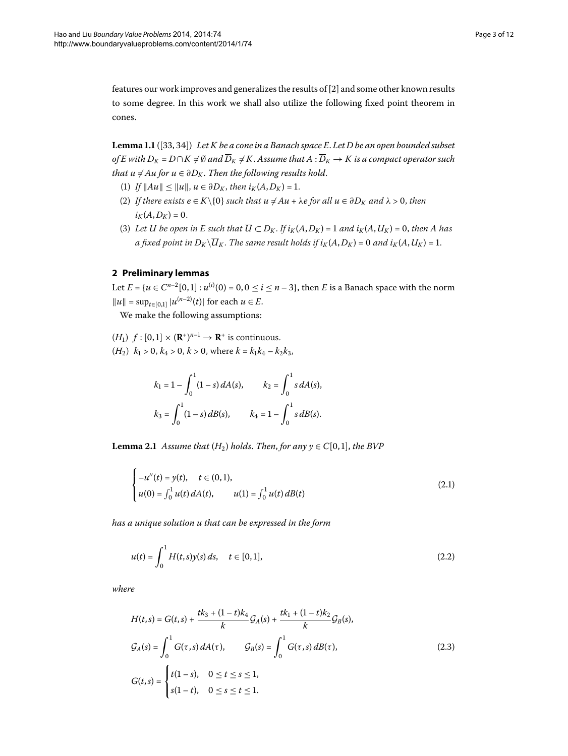<span id="page-2-2"></span>features our work improves and generalizes the results of [2[\]](#page-10-2) and some other known results to some degree. In this work we shall also utilize the following fixed point theorem in cones.

Lemma 1.1 ([33[,](#page-11-1) 34]) Let K be a cone in a Banach space E. Let D be an open bounded subset *of E with*  $D_K = D \cap K \neq \emptyset$  and  $\overline{D}_K \neq K$ . Assume that  $A : \overline{D}_K \rightarrow K$  is a compact operator such *that u*  $\neq$  *Au for u*  $\in$   $\partial D_K$ *. Then the following results hold.* 

- (1) *If*  $||Au|| \le ||u||$ ,  $u \in \partial D_K$ , then  $i_K(A, D_K) = 1$ .
- (2) *If there exists*  $e \in K \setminus \{0\}$  *such that*  $u \neq Au + \lambda e$  *for all*  $u \in \partial D_K$  *and*  $\lambda > 0$ *, then*  $i_K(A, D_K) = 0.$
- (3) Let *U* be open in *E* such that  $\overline{U} \subset D_K$ . If  $i_K(A, D_K) = 1$  and  $i_K(A, U_K) = 0$ , then *A* has *a* fixed point in  $D_K \backslash \overline{U}_K$ . The same result holds if  $i_K(A, D_K) = 0$  and  $i_K(A, U_K) = 1$ .

## **2 Preliminary lemmas**

Let  $E = \{u \in C^{n-2}[0,1]: u^{(i)}(0) = 0, 0 \le i \le n-3\}$ , then *E* is a Banach space with the norm  $||u|| = \sup_{t \in [0,1]} |u^{(n-2)}(t)|$  for each  $u \in E$ .

We make the following assumptions:

 $(H_1)$   $f : [0,1] \times (\mathbf{R}^*)^{n-1} \to \mathbf{R}^+$  is continuous.  $(H_2)$   $k_1 > 0$ ,  $k_4 > 0$ ,  $k > 0$ , where  $k = k_1 k_4 - k_2 k_3$ ,

<span id="page-2-1"></span><span id="page-2-0"></span>
$$
k_1 = 1 - \int_0^1 (1 - s) dA(s), \qquad k_2 = \int_0^1 s dA(s),
$$
  

$$
k_3 = \int_0^1 (1 - s) dB(s), \qquad k_4 = 1 - \int_0^1 s dB(s).
$$

**Lemma 2.1** Assume that  $(H_2)$  holds. Then, for any  $y \in C[0,1]$ , the BVP

$$
\begin{cases}\n-u''(t) = y(t), & t \in (0,1), \\
u(0) = \int_0^1 u(t) dA(t), & u(1) = \int_0^1 u(t) dB(t)\n\end{cases}
$$
\n(2.1)

*has a unique solution u that can be expressed in the form*

$$
u(t) = \int_0^1 H(t,s)y(s) \, ds, \quad t \in [0,1], \tag{2.2}
$$

*where*

$$
H(t,s) = G(t,s) + \frac{tk_3 + (1-t)k_4}{k}G_A(s) + \frac{tk_1 + (1-t)k_2}{k}G_B(s),
$$
  
\n
$$
G_A(s) = \int_0^1 G(\tau,s) dA(\tau), \qquad G_B(s) = \int_0^1 G(\tau,s) dB(\tau),
$$
  
\n
$$
G(t,s) = \begin{cases} t(1-s), & 0 \le t \le s \le 1, \\ s(1-t), & 0 \le s \le t \le 1. \end{cases}
$$
\n(2.3)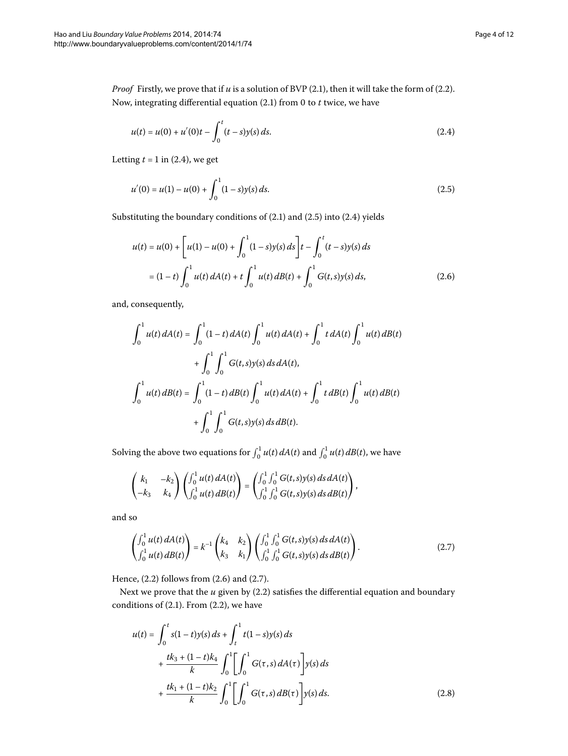*Proof* Firstly, we prove that if  $u$  is a solution of BVP (2.1), then it will take the form of (2.2). Now, integrating differential equation (2[.](#page-2-0)1) from 0 to *t* twice, we have

<span id="page-3-1"></span><span id="page-3-0"></span>
$$
u(t) = u(0) + u'(0)t - \int_0^t (t-s)y(s) ds.
$$
 (2.4)

Letting  $t = 1$  in (2[.](#page-3-0)4), we get

<span id="page-3-2"></span>
$$
u'(0) = u(1) - u(0) + \int_0^1 (1 - s)y(s) ds.
$$
 (2.5)

Substituting the boundary conditions of  $(2.1)$  and  $(2.5)$  into  $(2.4)$  yields

$$
u(t) = u(0) + \left[ u(1) - u(0) + \int_0^1 (1 - s)y(s) ds \right] t - \int_0^t (t - s)y(s) ds
$$
  
=  $(1 - t) \int_0^1 u(t) dA(t) + t \int_0^1 u(t) dB(t) + \int_0^1 G(t, s)y(s) ds,$  (2.6)

and, consequently,

$$
\int_0^1 u(t) dA(t) = \int_0^1 (1-t) dA(t) \int_0^1 u(t) dA(t) + \int_0^1 t dA(t) \int_0^1 u(t) dB(t)
$$
  
+ 
$$
\int_0^1 \int_0^1 G(t,s)y(s) ds dA(t),
$$
  

$$
\int_0^1 u(t) dB(t) = \int_0^1 (1-t) dB(t) \int_0^1 u(t) dA(t) + \int_0^1 t dB(t) \int_0^1 u(t) dB(t)
$$
  
+ 
$$
\int_0^1 \int_0^1 G(t,s)y(s) ds dB(t).
$$

Solving the above two equations for  $\int_0^1 u(t) dA(t)$  and  $\int_0^1 u(t) dB(t)$ , we have

<span id="page-3-3"></span>
$$
\begin{pmatrix} k_1 & -k_2 \ -k_3 & k_4 \end{pmatrix} \begin{pmatrix} \int_0^1 u(t) \, dA(t) \\ \int_0^1 u(t) \, dB(t) \end{pmatrix} = \begin{pmatrix} \int_0^1 \int_0^1 G(t,s)y(s) \, ds \, dA(t) \\ \int_0^1 \int_0^1 G(t,s)y(s) \, ds \, dB(t) \end{pmatrix},
$$

and so

$$
\begin{pmatrix} \int_0^1 u(t) dA(t) \\ \int_0^1 u(t) dB(t) \end{pmatrix} = k^{-1} \begin{pmatrix} k_4 & k_2 \\ k_3 & k_1 \end{pmatrix} \begin{pmatrix} \int_0^1 \int_0^1 G(t,s)y(s) ds dA(t) \\ \int_0^1 \int_0^1 G(t,s)y(s) ds dB(t) \end{pmatrix}.
$$
 (2.7)

Hence,  $(2.2)$  $(2.2)$  $(2.2)$  follows from  $(2.6)$  and  $(2.7)$ .

Next we prove that the  $u$  given by  $(2.2)$  satisfies the differential equation and boundary conditions of  $(2.1)$  $(2.1)$  $(2.1)$ . From  $(2.2)$ , we have

<span id="page-3-4"></span>
$$
u(t) = \int_0^t s(1-t)y(s) ds + \int_t^1 t(1-s)y(s) ds
$$
  
+ 
$$
\frac{tk_3 + (1-t)k_4}{k} \int_0^1 \left[ \int_0^1 G(\tau, s) dA(\tau) \right] y(s) ds
$$
  
+ 
$$
\frac{tk_1 + (1-t)k_2}{k} \int_0^1 \left[ \int_0^1 G(\tau, s) dB(\tau) \right] y(s) ds.
$$
 (2.8)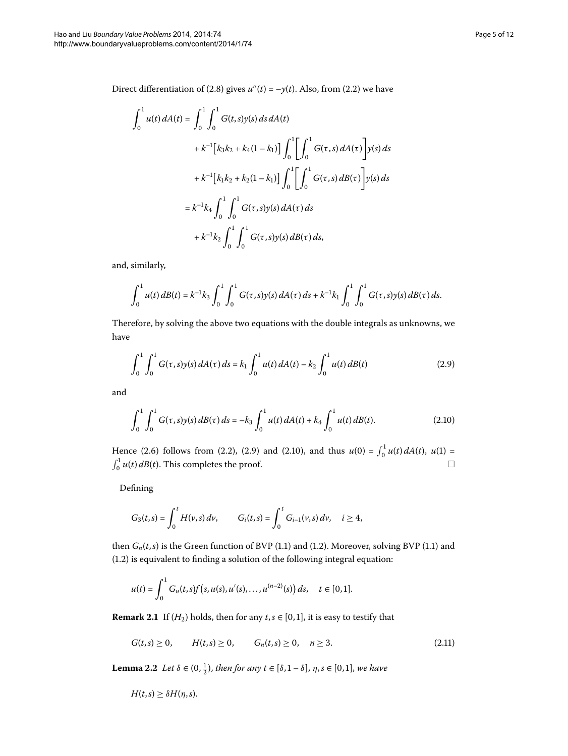Direct differentiation of (2.8) gives  $u''(t) = -y(t)$ . Also, from (2.2) we have

$$
\int_0^1 u(t) dA(t) = \int_0^1 \int_0^1 G(t, s) y(s) ds dA(t)
$$
  
+  $k^{-1} [k_3 k_2 + k_4 (1 - k_1)] \int_0^1 \left[ \int_0^1 G(\tau, s) dA(\tau) \right] y(s) ds$   
+  $k^{-1} [k_1 k_2 + k_2 (1 - k_1)] \int_0^1 \left[ \int_0^1 G(\tau, s) dB(\tau) \right] y(s) ds$   
=  $k^{-1} k_4 \int_0^1 \int_0^1 G(\tau, s) y(s) dA(\tau) ds$   
+  $k^{-1} k_2 \int_0^1 \int_0^1 G(\tau, s) y(s) dB(\tau) ds$ ,

and, similarly,

<span id="page-4-0"></span>
$$
\int_0^1 u(t) \, dB(t) = k^{-1} k_3 \int_0^1 \int_0^1 G(\tau, s) y(s) \, dA(\tau) \, ds + k^{-1} k_1 \int_0^1 \int_0^1 G(\tau, s) y(s) \, dB(\tau) \, ds.
$$

Therefore, by solving the above two equations with the double integrals as unknowns, we have

<span id="page-4-1"></span>
$$
\int_0^1 \int_0^1 G(\tau, s) y(s) dA(\tau) ds = k_1 \int_0^1 u(t) dA(t) - k_2 \int_0^1 u(t) dB(t)
$$
\n(2.9)

and

$$
\int_0^1 \int_0^1 G(\tau, s) y(s) \, d\mathcal{B}(\tau) \, ds = -k_3 \int_0^1 u(t) \, d\mathcal{A}(t) + k_4 \int_0^1 u(t) \, d\mathcal{B}(t). \tag{2.10}
$$

Hence (2[.](#page-4-1)6) follows from (2.2), (2.9) and (2.10), and thus  $u(0) = \int_0^1 u(t) dA(t)$ ,  $u(1) =$  $\int_0^1 u(t) dB(t)$ . This completes the proof.  $\Box$  $\Box$ 

Defining

$$
G_3(t,s) = \int_0^t H(v,s) \, dv, \qquad G_i(t,s) = \int_0^t G_{i-1}(v,s) \, dv, \quad i \geq 4,
$$

then  $G_n(t,s)$  is the Green function of BVP (1[.](#page-0-1)1) and (1.2). Moreover, solving BVP (1.1) and  $(1.2)$  $(1.2)$  $(1.2)$  is equivalent to finding a solution of the following integral equation:

<span id="page-4-3"></span>
$$
u(t) = \int_0^1 G_n(t,s)f(s,u(s),u'(s),\ldots,u^{(n-2)}(s))\,ds, \quad t \in [0,1].
$$

<span id="page-4-2"></span>**Remark 2.1** If  $(H_2)$  holds, then for any  $t, s \in [0, 1]$ , it is easy to testify that

$$
G(t,s) \ge 0, \qquad H(t,s) \ge 0, \qquad G_n(t,s) \ge 0, \quad n \ge 3. \tag{2.11}
$$

**Lemma 2.2** Let  $\delta \in (0, \frac{1}{2})$ , then for any  $t \in [\delta, 1 - \delta]$ ,  $\eta, s \in [0, 1]$ , we have

$$
H(t,s)\geq \delta H(\eta,s).
$$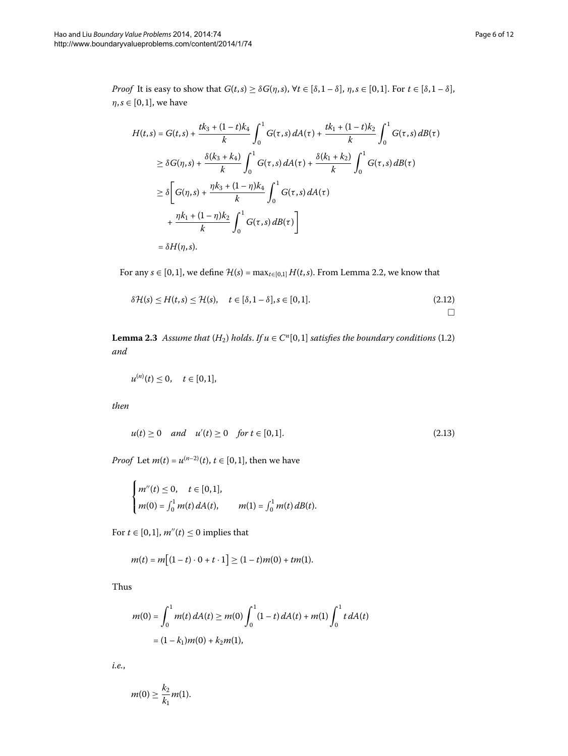*Proof* It is easy to show that  $G(t,s) \geq \delta G(\eta,s)$ ,  $\forall t \in [\delta,1-\delta]$ ,  $\eta,s \in [0,1]$ . For  $t \in [\delta,1-\delta]$ ,  $\eta, s \in [0, 1]$ , we have

$$
H(t,s) = G(t,s) + \frac{tk_3 + (1-t)k_4}{k} \int_0^1 G(\tau,s) dA(\tau) + \frac{tk_1 + (1-t)k_2}{k} \int_0^1 G(\tau,s) dB(\tau)
$$
  
\n
$$
\geq \delta G(\eta,s) + \frac{\delta(k_3 + k_4)}{k} \int_0^1 G(\tau,s) dA(\tau) + \frac{\delta(k_1 + k_2)}{k} \int_0^1 G(\tau,s) dB(\tau)
$$
  
\n
$$
\geq \delta \left[ G(\eta,s) + \frac{\eta k_3 + (1-\eta)k_4}{k} \int_0^1 G(\tau,s) dA(\tau) + \frac{\eta k_1 + (1-\eta)k_2}{k} \int_0^1 G(\tau,s) dB(\tau) \right]
$$
  
\n
$$
= \delta H(\eta,s).
$$

<span id="page-5-1"></span>For any  $s \in [0, 1]$ , we define  $\mathcal{H}(s) = \max_{t \in [0, 1]} H(t, s)$ [.](#page-4-2) From Lemma 2.2, we know that

$$
\delta \mathcal{H}(s) \le H(t,s) \le \mathcal{H}(s), \quad t \in [\delta, 1-\delta], s \in [0,1]. \tag{2.12}
$$

**Lemma 2[.](#page-0-2)3** Assume that  $(H_2)$  holds. If  $u \in C^n[0,1]$  satisfies the boundary conditions (1.2) *and*

$$
u^{(n)}(t) \le 0, \quad t \in [0,1],
$$

*then*

$$
u(t) \ge 0
$$
 and  $u'(t) \ge 0$  for  $t \in [0,1]$ . (2.13)

*Proof* Let *m*(*t*) =  $u^{(n-2)}(t)$ , *t* ∈ [0,1], then we have

$$
\begin{cases} m''(t) \le 0, & t \in [0,1], \\ m(0) = \int_0^1 m(t) dA(t), & m(1) = \int_0^1 m(t) dB(t). \end{cases}
$$

For  $t \in [0, 1]$ ,  $m''(t) \leq 0$  implies that

$$
m(t) = m[(1-t) \cdot 0 + t \cdot 1] \ge (1-t)m(0) + tm(1).
$$

Thus

$$
m(0) = \int_0^1 m(t) dA(t) \ge m(0) \int_0^1 (1-t) dA(t) + m(1) \int_0^1 t dA(t)
$$
  
=  $(1 - k_1)m(0) + k_2m(1),$ 

*i.e.*,

$$
m(0)\geq \frac{k_2}{k_1}m(1).
$$

<span id="page-5-2"></span><span id="page-5-0"></span> $\Box$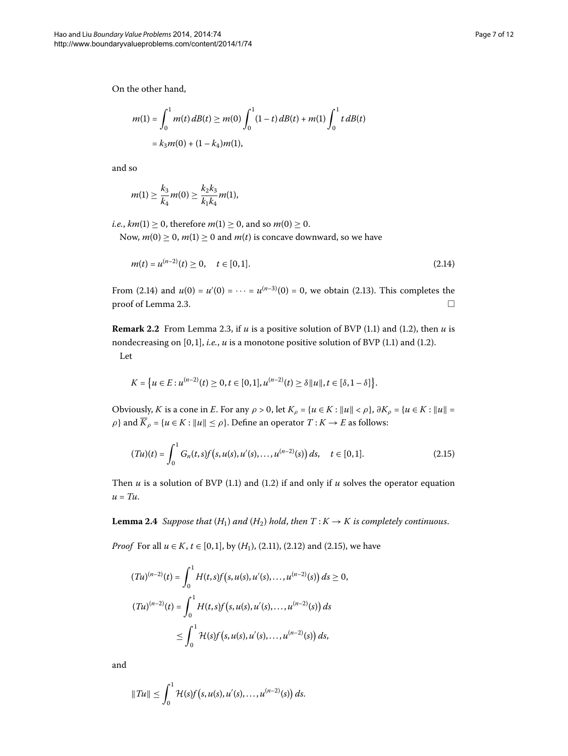On the other hand,

$$
m(1) = \int_0^1 m(t) \, dB(t) \ge m(0) \int_0^1 (1-t) \, dB(t) + m(1) \int_0^1 t \, dB(t)
$$
  
=  $k_3 m(0) + (1 - k_4)m(1)$ ,

and so

<span id="page-6-0"></span>
$$
m(1) \geq \frac{k_3}{k_4}m(0) \geq \frac{k_2k_3}{k_1k_4}m(1),
$$

*i.e.*,  $km(1) \ge 0$ , therefore  $m(1) \ge 0$ , and so  $m(0) \ge 0$ .

Now,  $m(0) \ge 0$ ,  $m(1) \ge 0$  and  $m(t)$  is concave downward, so we have

$$
m(t) = u^{(n-2)}(t) \ge 0, \quad t \in [0,1].
$$
\n(2.14)

From (2[.](#page-5-0)14) and  $u(0) = u'(0) = \cdots = u^{(n-3)}(0) = 0$ , we obtain (2.13). This completes the proof of Lemma 2.3.  $\Box$ 

**Remark 2[.](#page-0-1)2** From Lemma 2.3, if  $u$  is a positive solution of BVP (1.1) and (1.2), then  $u$  is nondecreasing on  $[0, 1]$ , *i[.](#page-0-2)e.*,  $u$  is a monotone positive solution of BVP (1.1) and (1.2). Let

<span id="page-6-1"></span>
$$
K = \left\{ u \in E : u^{(n-2)}(t) \ge 0, t \in [0,1], u^{(n-2)}(t) \ge \delta ||u||, t \in [\delta, 1-\delta] \right\}.
$$

Obviously, *K* is a cone in *E*. For any  $\rho > 0$ , let  $K_{\rho} = \{u \in K : ||u|| < \rho\}$ ,  $\partial K_{\rho} = \{u \in K : ||u|| =$ *ρ*} and  $\overline{K}_\rho = \{u \in K : ||u|| \le \rho\}$ . Define an operator  $T: K \to E$  as follows:

$$
(Tu)(t) = \int_0^1 G_n(t,s)f(s,u(s),u'(s),\ldots,u^{(n-2)}(s))\,ds, \quad t \in [0,1].
$$
\n(2.15)

Then  $u$  is a solution of BVP (1[.](#page-0-2)1) and (1.2) if and only if  $u$  solves the operator equation  $u = Tu$ .

**Lemma 2.4** Suppose that  $(H_1)$  and  $(H_2)$  hold, then  $T: K \to K$  is completely continuous.

*Proof* For all  $u \in K$ ,  $t \in [0, 1]$ , by  $(H_1)$ , (2[.](#page-5-2)11), (2.12) and (2.15), we have

$$
(Tu)^{(n-2)}(t) = \int_0^1 H(t,s)f(s,u(s),u'(s),...,u^{(n-2)}(s)) ds \ge 0,
$$
  

$$
(Tu)^{(n-2)}(t) = \int_0^1 H(t,s)f(s,u(s),u'(s),...,u^{(n-2)}(s)) ds
$$
  

$$
\le \int_0^1 H(s)f(s,u(s),u'(s),...,u^{(n-2)}(s)) ds,
$$

and

$$
||Tu|| \leq \int_0^1 \mathcal{H}(s) f(s, u(s), u'(s), \dots, u^{(n-2)}(s)) ds.
$$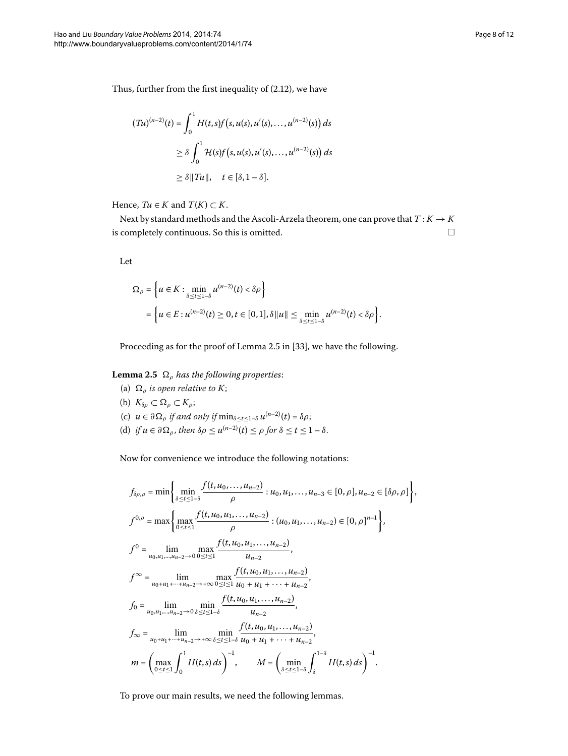Thus, further from the first inequality of  $(2.12)$  $(2.12)$  $(2.12)$ , we have

$$
(Tu)^{(n-2)}(t) = \int_0^1 H(t,s)f(s,u(s),u'(s),\ldots,u^{(n-2)}(s)) ds
$$
  
\n
$$
\geq \delta \int_0^1 \mathcal{H}(s)f(s,u(s),u'(s),\ldots,u^{(n-2)}(s)) ds
$$
  
\n
$$
\geq \delta ||Tu||, \quad t \in [\delta,1-\delta].
$$

Hence,  $Tu \in K$  and  $T(K) \subset K$ .

Next by standard methods and the Ascoli-Arzela theorem, one can prove that  $T: K \to K$ is completely continuous. So this is omitted.  $\hfill \Box$ 

<span id="page-7-0"></span>Let

$$
\Omega_{\rho} = \left\{ u \in K : \min_{\delta \le t \le 1-\delta} u^{(n-2)}(t) < \delta \rho \right\}
$$
  
= 
$$
\left\{ u \in E : u^{(n-2)}(t) \ge 0, t \in [0,1], \delta ||u|| \le \min_{\delta \le t \le 1-\delta} u^{(n-2)}(t) < \delta \rho \right\}.
$$

Proceeding as for the proof of Lemma 2.5 in [33[\]](#page-11-1), we have the following.

## L**emma** 2.5  $\,\Omega_\rho$  has the following properties:

(a)  $\Omega$ <sub>ρ</sub> is open relative to K; (b)  $K_{\delta\rho} \subset \Omega_\rho \subset K_\rho;$ (c)  $u \in \partial \Omega$  *j if and only if*  $\min_{\delta \le t \le 1-\delta} u^{(n-2)}(t) = \delta \rho;$ (d) *if*  $u \in \partial \Omega_{\rho}$ , then  $\delta \rho \leq u^{(n-2)}(t) \leq \rho$  for  $\delta \leq t \leq 1-\delta$ .

Now for convenience we introduce the following notations:

$$
f_{\delta\rho,\rho} = \min\left\{\min_{\delta \le t \le 1-\delta} \frac{f(t, u_0, \dots, u_{n-2})}{\rho} : u_0, u_1, \dots, u_{n-3} \in [0, \rho], u_{n-2} \in [\delta\rho, \rho]\right\},\
$$
  

$$
f^{0,\rho} = \max\left\{\max_{0 \le t \le 1} \frac{f(t, u_0, u_1, \dots, u_{n-2})}{\rho} : (u_0, u_1, \dots, u_{n-2}) \in [0, \rho]^{n-1}\right\},\
$$
  

$$
f^{0} = \lim_{u_0, u_1, \dots, u_{n-2} \to 0} \max_{0 \le t \le 1} \frac{f(t, u_0, u_1, \dots, u_{n-2})}{u_{n-2}},\
$$
  

$$
f^{\infty} = \lim_{u_0 + u_1 + \dots + u_{n-2} \to +\infty} \max_{0 \le t \le 1} \frac{f(t, u_0, u_1, \dots, u_{n-2})}{u_0 + u_1 + \dots + u_{n-2}},\
$$
  

$$
f_0 = \lim_{u_0, u_1, \dots, u_{n-2} \to 0} \min_{\delta \le t \le 1-\delta} \frac{f(t, u_0, u_1, \dots, u_{n-2})}{u_{n-2}},\
$$
  

$$
f_{\infty} = \lim_{u_0 + u_1 + \dots + u_{n-2} \to +\infty} \min_{\delta \le t \le 1-\delta} \frac{f(t, u_0, u_1, \dots, u_{n-2})}{u_0 + u_1 + \dots + u_{n-2}},\
$$
  

$$
m = \left(\max_{0 \le t \le 1} \int_0^1 H(t, s) ds\right)^{-1}, \qquad M = \left(\min_{\delta \le t \le 1-\delta} \int_\delta^{1-\delta} H(t, s) ds\right)^{-1}.
$$

To prove our main results, we need the following lemmas.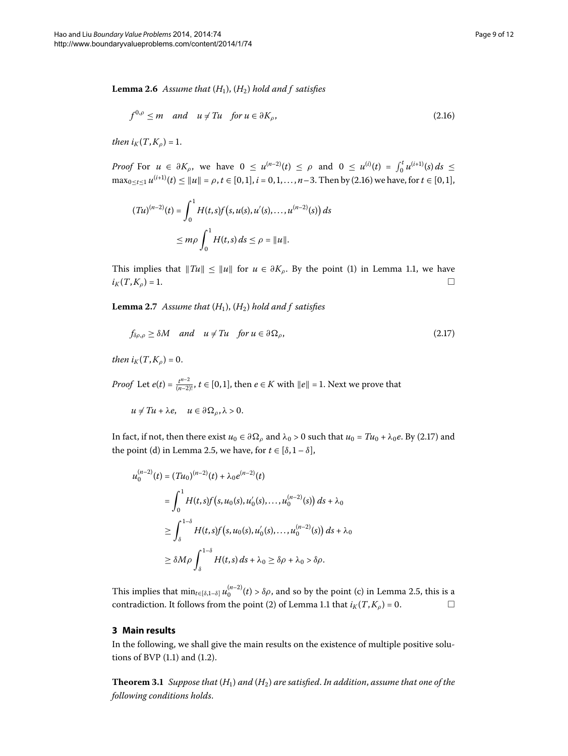<span id="page-8-2"></span>**Lemma 2.6** Assume that  $(H_1)$ ,  $(H_2)$  hold and f satisfies

<span id="page-8-0"></span>
$$
f^{0,\rho} \le m \quad \text{and} \quad u \neq Tu \quad \text{for } u \in \partial K_{\rho}, \tag{2.16}
$$

*then*  $i_K(T, K_o) = 1$ .

*Proof* For  $u \in \partial K_{\rho}$ , we have  $0 \le u^{(n-2)}(t) \le \rho$  and  $0 \le u^{(i)}(t) = \int_0^t u^{(i+1)}(s) ds \le$  $\max_{0 \le t \le 1} u^{(i+1)}(t) \le ||u|| = \rho, t \in [0,1], i = 0,1,\ldots,n-3.$  $\max_{0 \le t \le 1} u^{(i+1)}(t) \le ||u|| = \rho, t \in [0,1], i = 0,1,\ldots,n-3.$  Then by (2.16) we have, for  $t \in [0,1],$ 

<span id="page-8-3"></span><span id="page-8-1"></span>
$$
(Tu)^{(n-2)}(t) = \int_0^1 H(t,s)f(s,u(s),u'(s),...,u^{(n-2)}(s)) ds
$$
  
 
$$
\le m\rho \int_0^1 H(t,s) ds \le \rho = ||u||.
$$

This implies that  $||Tu|| \le ||u||$  for  $u \in \partial K_{\rho}$ . By the point (1) in Lemma 1.1, we have  $i_K(T, K_\rho) = 1.$  $\Box$ 

**Lemma 2.7** Assume that  $(H_1)$ ,  $(H_2)$  hold and f satisfies

$$
f_{\delta\rho,\rho} \ge \delta M \quad \text{and} \quad u \ne Tu \quad \text{for } u \in \partial \Omega_{\rho}, \tag{2.17}
$$

*then*  $i_K(T, K_\rho) = 0$ .

*Proof* Let  $e(t) = \frac{t^{n-2}}{(n-2)!}$ ,  $t \in [0,1]$ , then  $e \in K$  with  $||e|| = 1$ . Next we prove that

 $u \neq Tu + \lambda e$ ,  $u \in \partial \Omega_{\rho}, \lambda > 0$ .

In fact, if not, then there exist  $u_0 \in \partial \Omega_\rho$  and  $\lambda_0 > 0$  such that  $u_0 = Tu_0 + \lambda_0 e$ . By (2.17) and the point (d) in Lemma 2[.](#page-7-0)5, we have, for  $t \in [\delta, 1-\delta]$ ,

$$
u_0^{(n-2)}(t) = (Tu_0)^{(n-2)}(t) + \lambda_0 e^{(n-2)}(t)
$$
  
= 
$$
\int_0^1 H(t,s)f(s,u_0(s),u'_0(s),...,u_0^{(n-2)}(s)) ds + \lambda_0
$$
  

$$
\geq \int_{\delta}^{1-\delta} H(t,s)f(s,u_0(s),u'_0(s),...,u_0^{(n-2)}(s)) ds + \lambda_0
$$
  

$$
\geq \delta M \rho \int_{\delta}^{1-\delta} H(t,s) ds + \lambda_0 \geq \delta \rho + \lambda_0 > \delta \rho.
$$

This implies that  $\min_{t \in [\delta, 1-\delta]} u_0^{(n-2)}(t) > \delta \rho$ , and so by the point (c) in Lemma 2.5, this is a contradiction[.](#page-2-2) It follows from the point (2) of Lemma 1.1 that  $i_K(T, K_\rho) = 0$ .  $\Box$ 

## **3 Main results**

In the following, we shall give the main results on the existence of multiple positive solutions of BVP  $(1.1)$  $(1.1)$  $(1.1)$  and  $(1.2)$ .

**Theorem 3.1** Suppose that  $(H_1)$  and  $(H_2)$  are satisfied. In addition, assume that one of the *following conditions holds*.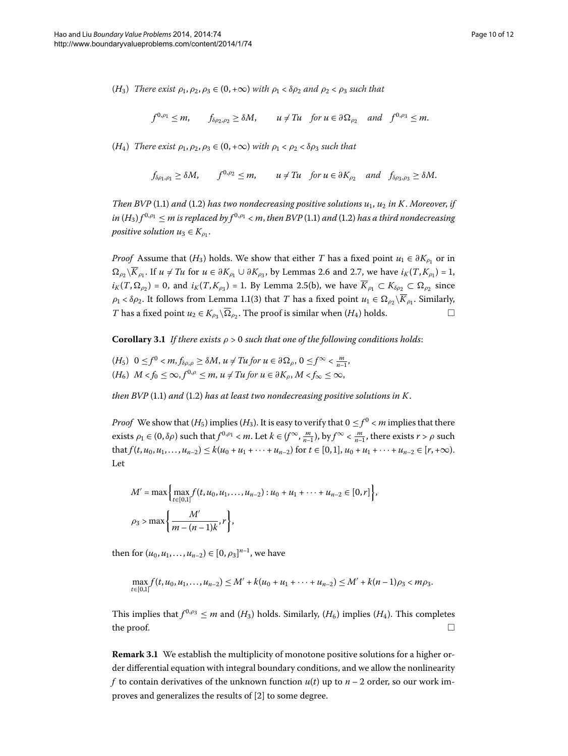(*H*<sub>3</sub>) *There exist*  $\rho_1$ ,  $\rho_2$ ,  $\rho_3 \in (0, +\infty)$  *with*  $\rho_1 < \delta \rho_2$  *and*  $\rho_2 < \rho_3$  *such that* 

$$
f^{0,\rho_1} \leq m
$$
,  $f_{\delta\rho_2,\rho_2} \geq \delta M$ ,  $u \neq Tu$  for  $u \in \partial \Omega_{\rho_2}$  and  $f^{0,\rho_3} \leq m$ .

(*H*<sub>4</sub>) *There exist*  $\rho_1, \rho_2, \rho_3 \in (0, +\infty)$  *with*  $\rho_1 < \rho_2 < \delta \rho_3$  *such that* 

$$
f_{\delta\rho_1,\rho_1} \ge \delta M
$$
,  $f^{0,\rho_2} \le m$ ,  $u \ne Tu$  for  $u \in \partial K_{\rho_2}$  and  $f_{\delta\rho_3,\rho_3} \ge \delta M$ .

*Then BVP* (1[.](#page-0-1)1) *and* (1.2) *has two nondecreasing positive solutions*  $u_1$ ,  $u_2$  *in K*. *Moreover*, *if*  $in (H_3) f^{0,p_1} \le m$  is replaced by  $f^{0,p_1} < m$ , then BVP (1.1) and (1.2) has a third nondecreasing *positive solution*  $u_3 \in K_0$ .

*Proof* Assume that (*H*<sub>3</sub>) holds. We show that either *T* has a fixed point  $u_1 \in \partial K_{\rho_1}$  or in  $\Omega_{\rho_2}$ ∖*K*<sub>*ρ*</sub> [.](#page-8-2) If *u* ≠ *Tu* for *u* ∈ *∂K<sub><i>ρ*</sub> ∪ *∂K<sub><i>ρ*</sub></sub>, by Lemmas 2.6 and 2.7, we have *i<sub>K</sub>*(*T*,*K<sub><i>ρ*</sub></sup>) = 1,  $i_K(T, \Omega_{\rho_2}) = 0$ , and  $i_K(T, K_{\rho_3}) = 1$ [.](#page-7-0) By Lemma 2.5(b), we have  $K_{\rho_1} \subset K_{\delta \rho_2} \subset \Omega_{\rho_2}$  since *ρ*<sub>1</sub> < *δρ*<sub>2</sub>[.](#page-2-2) It follows from Lemma 1.1(3) that *T* has a fixed point *u*<sub>1</sub> ∈  $\Omega_{p_2} \setminus K_{p_1}$ . Similarly, *T* has a fixed point  $u_2 \in K_{\rho_3} \backslash \Omega_{\rho_2}$ . The proof is similar when  $(H_4)$  holds.

**Corollary 3.1** *If there exists*  $\rho > 0$  *such that one of the following conditions holds:* 

 $(H_5)$   $0 \le f^0 < m, f_{\delta\rho,\rho} \ge \delta M, u \ne Tu$  *for*  $u \in \partial \Omega_\rho, 0 \le f^\infty < \frac{m}{n-1}$ ,  $(H_6)$   $M < f_0 \leq \infty$ ,  $f^{0,\rho} \leq m$ ,  $u \neq Tu$  *for*  $u \in \partial K_\rho$ ,  $M < f_\infty \leq \infty$ ,

*then BVP* (1[.](#page-0-1)1) *and* (1.2) *has at least two nondecreasing positive solutions in K.* 

*Proof* We show that  $(H_5)$  implies  $(H_3)$ . It is easy to verify that  $0 \le f^0 < m$  implies that there exists *ρ*<sub>1</sub> ∈ (0, *δρ*) such that *f*<sup>0,*ρ*<sub>1</sub></sup> < *m*. Let *k* ∈ (*f*<sup>∞</sup>,  $\frac{m}{n-1}$ ), by *f*<sup>∞</sup> <  $\frac{m}{n-1}$ , there exists *r* > *ρ* such  $\text{that } f(t, u_0, u_1, \ldots, u_{n-2}) \leq k(u_0 + u_1 + \cdots + u_{n-2}) \text{ for } t \in [0, 1], u_0 + u_1 + \cdots + u_{n-2} \in [r, +\infty).$ Let

$$
M' = \max\left\{\max_{t \in [0,1]} f(t, u_0, u_1, \dots, u_{n-2}) : u_0 + u_1 + \dots + u_{n-2} \in [0, r]\right\},\
$$
  

$$
\rho_3 > \max\left\{\frac{M'}{m - (n-1)k}, r\right\},\
$$

then for  $(u_0, u_1, \ldots, u_{n-2}) \in [0, \rho_3]^{n-1}$ , we have

$$
\max_{t\in[0,1]} f(t,u_0,u_1,\ldots,u_{n-2}) \leq M' + k(u_0+u_1+\cdots+u_{n-2}) \leq M' + k(n-1)\rho_3 < m\rho_3.
$$

This implies that  $f^{0,q_3} \leq m$  and  $(H_3)$  holds. Similarly,  $(H_6)$  implies  $(H_4)$ . This completes the proof.  $\Box$  $\Box$ 

**Remark 3.1** We establish the multiplicity of monotone positive solutions for a higher order differential equation with integral boundary conditions, and we allow the nonlinearity *f* to contain derivatives of the unknown function  $u(t)$  up to  $n-2$  order, so our work im-proves and generalizes the results of [2[\]](#page-10-2) to some degree.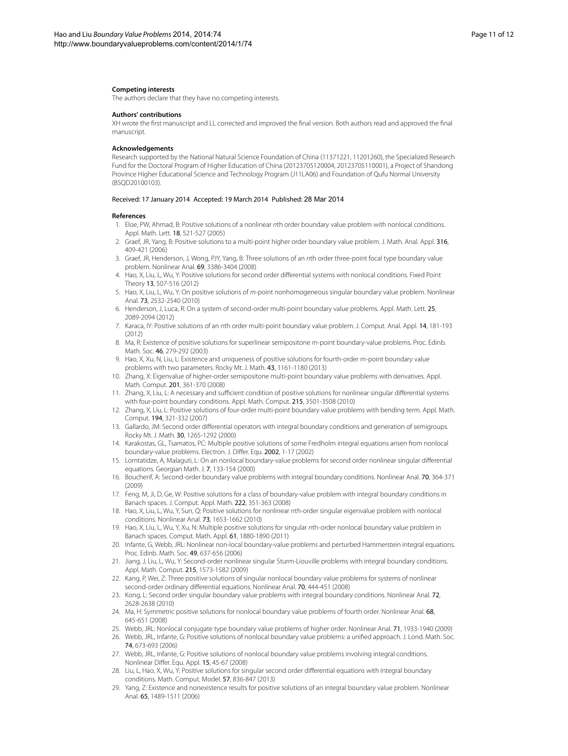#### **Competing interests**

The authors declare that they have no competing interests.

#### **Authors' contributions**

<span id="page-10-0"></span>XH wrote the first manuscript and LL corrected and improved the final version. Both authors read and approved the final manuscript.

#### **Acknowledgements**

<span id="page-10-2"></span>Research supported by the National Natural Science Foundation of China (11371221, 11201260), the Specialized Research Fund for the Doctoral Program of Higher Education of China (20123705120004, 20123705110001), a Project of Shandong Province Higher Educational Science and Technology Program (J11LA06) and Foundation of Qufu Normal University (BSQD20100103).

#### <span id="page-10-3"></span>Received: 17 January 2014 Accepted: 19 March 2014 Published: 28 Mar 2014

#### **References**

- 1. Eloe, PW, Ahmad, B: Positive solutions of a nonlinear nth order boundary value problem with nonlocal conditions. Appl. Math. Lett. 18, 521-527 (2005)
- 2. Graef, JR, Yang, B: Positive solutions to a multi-point higher order boundary value problem. J. Math. Anal. Appl. 316, 409-421 (2006)
- 3. Graef, JR, Henderson, J, Wong, PJY, Yang, B: Three solutions of an nth order three-point focal type boundary value problem. Nonlinear Anal. 69, 3386-3404 (2008)
- 4. Hao, X, Liu, L, Wu, Y: Positive solutions for second order differential systems with nonlocal conditions. Fixed Point Theory 13, 507-516 (2012)
- 5. Hao, X, Liu, L, Wu, Y: On positive solutions of m-point nonhomogeneous singular boundary value problem. Nonlinear Anal. 73, 2532-2540 (2010)
- 6. Henderson, J, Luca, R: On a system of second-order multi-point boundary value problems. Appl. Math. Lett. 25, 2089-2094 (2012)
- <span id="page-10-1"></span>7. Karaca, IY: Positive solutions of an nth order multi-point boundary value problem. J. Comput. Anal. Appl. 14, 181-193 (2012)
- <span id="page-10-4"></span>8. Ma, R: Existence of positive solutions for superlinear semipositone m-point boundary-value problems. Proc. Edinb. Math. Soc. 46, 279-292 (2003)
- 9. Hao, X, Xu, N, Liu, L: Existence and uniqueness of positive solutions for fourth-order m-point boundary value problems with two parameters. Rocky Mt. J. Math. 43, 1161-1180 (2013)
- <span id="page-10-5"></span>10. Zhang, X: Eigenvalue of higher-order semipositone multi-point boundary value problems with derivatives. Appl. Math. Comput. 201, 361-370 (2008)
- <span id="page-10-6"></span>11. Zhang, X, Liu, L: A necessary and sufficient condition of positive solutions for nonlinear singular differential systems with four-point boundary conditions. Appl. Math. Comput. 215, 3501-3508 (2010)
- <span id="page-10-7"></span>12. Zhang, X, Liu, L: Positive solutions of four-order multi-point boundary value problems with bending term. Appl. Math. Comput. 194, 321-332 (2007)
- 13. Gallardo, JM: Second order differential operators with integral boundary conditions and generation of semigroups. Rocky Mt. J. Math. 30, 1265-1292 (2000)
- 14. Karakostas, GL, Tsamatos, PC: Multiple positive solutions of some Fredholm integral equations arisen from nonlocal boundary-value problems. Electron. J. Differ. Equ. 2002, 1-17 (2002)
- 15. Lomtatidze, A, Malaguti, L: On an nonlocal boundary-value problems for second order nonlinear singular differential equations. Georgian Math. J. 7, 133-154 (2000)
- 16. Boucherif, A: Second-order boundary value problems with integral boundary conditions. Nonlinear Anal. 70, 364-371 (2009)
- 17. Feng, M, Ji, D, Ge, W: Positive solutions for a class of boundary-value problem with integral boundary conditions in Banach spaces. J. Comput. Appl. Math. 222, 351-363 (2008)
- 18. Hao, X, Liu, L, Wu, Y, Sun, Q: Positive solutions for nonlinear nth-order singular eigenvalue problem with nonlocal conditions. Nonlinear Anal. 73, 1653-1662 (2010)
- 19. Hao, X, Liu, L, Wu, Y, Xu, N: Multiple positive solutions for singular nth-order nonlocal boundary value problem in Banach spaces. Comput. Math. Appl. 61, 1880-1890 (2011)
- 20. Infante, G, Webb, JRL: Nonlinear non-local boundary-value problems and perturbed Hammerstein integral equations. Proc. Edinb. Math. Soc. 49, 637-656 (2006)
- 21. Jiang, J, Liu, L, Wu, Y: Second-order nonlinear singular Sturm-Liouville problems with integral boundary conditions. Appl. Math. Comput. 215, 1573-1582 (2009)
- 22. Kang, P, Wei, Z: Three positive solutions of singular nonlocal boundary value problems for systems of nonlinear second-order ordinary differential equations. Nonlinear Anal. 70, 444-451 (2008)
- 23. Kong, L: Second order singular boundary value problems with integral boundary conditions. Nonlinear Anal. 72, 2628-2638 (2010)
- 24. Ma, H: Symmetric positive solutions for nonlocal boundary value problems of fourth order. Nonlinear Anal. 68, 645-651 (2008)
- 25. Webb, JRL: Nonlocal conjugate type boundary value problems of higher order. Nonlinear Anal. 71, 1933-1940 (2009)
- 26. Webb, JRL, Infante, G: Positive solutions of nonlocal boundary value problems: a unified approach. J. Lond. Math. Soc. 74, 673-693 (2006)
- 27. Webb, JRL, Infante, G: Positive solutions of nonlocal boundary value problems involving integral conditions. Nonlinear Differ. Equ. Appl. 15, 45-67 (2008)
- 28. Liu, L, Hao, X, Wu, Y: Positive solutions for singular second order differential equations with integral boundary conditions. Math. Comput. Model. 57, 836-847 (2013)
- 29. Yang, Z: Existence and nonexistence results for positive solutions of an integral boundary value problem. Nonlinear Anal. 65, 1489-1511 (2006)